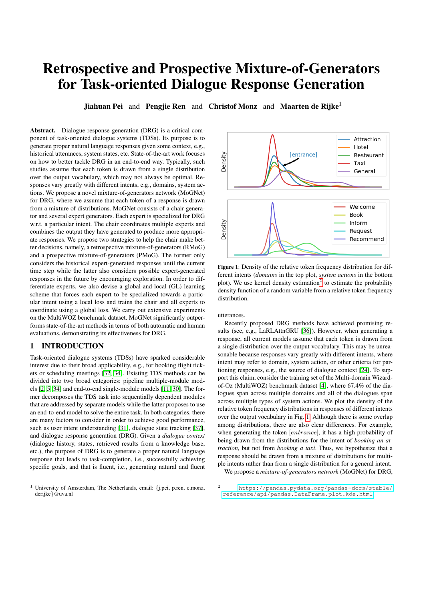# Retrospective and Prospective Mixture-of-Generators for Task-oriented Dialogue Response Generation

Jiahuan Pei and Pengjie Ren and Christof Monz and Maarten de Rijke<sup>1</sup>

Abstract. Dialogue response generation (DRG) is a critical component of task-oriented dialogue systems (TDSs). Its purpose is to generate proper natural language responses given some context, e.g., historical utterances, system states, etc. State-of-the-art work focuses on how to better tackle DRG in an end-to-end way. Typically, such studies assume that each token is drawn from a single distribution over the output vocabulary, which may not always be optimal. Responses vary greatly with different intents, e.g., domains, system actions. We propose a novel mixture-of-generators network (MoGNet) for DRG, where we assume that each token of a response is drawn from a mixture of distributions. MoGNet consists of a chair generator and several expert generators. Each expert is specialized for DRG w.r.t. a particular intent. The chair coordinates multiple experts and combines the output they have generated to produce more appropriate responses. We propose two strategies to help the chair make better decisions, namely, a retrospective mixture-of-generators (RMoG) and a prospective mixture-of-generators (PMoG). The former only considers the historical expert-generated responses until the current time step while the latter also considers possible expert-generated responses in the future by encouraging exploration. In order to differentiate experts, we also devise a global-and-local (GL) learning scheme that forces each expert to be specialized towards a particular intent using a local loss and trains the chair and all experts to coordinate using a global loss. We carry out extensive experiments on the MultiWOZ benchmark dataset. MoGNet significantly outperforms state-of-the-art methods in terms of both automatic and human evaluations, demonstrating its effectiveness for DRG.

## 1 INTRODUCTION

Task-oriented dialogue systems (TDSs) have sparked considerable interest due to their broad applicability, e.g., for booking flight tickets or scheduling meetings [\[32,](#page-7-0) [34\]](#page-7-1). Existing TDS methods can be divided into two broad categories: pipeline multiple-module models [\[2,](#page-7-2) [5,](#page-7-3) [34\]](#page-7-1) and end-to-end single-module models [\[11,](#page-7-4) [30\]](#page-7-5). The former decomposes the TDS task into sequentially dependent modules that are addressed by separate models while the latter proposes to use an end-to-end model to solve the entire task. In both categories, there are many factors to consider in order to achieve good performance, such as user intent understanding [\[31\]](#page-7-6), dialogue state tracking [\[37\]](#page-7-7), and dialogue response generation (DRG). Given a *dialogue context* (dialogue history, states, retrieved results from a knowledge base, etc.), the purpose of DRG is to generate a proper natural language response that leads to task-completion, i.e., successfully achieving specific goals, and that is fluent, i.e., generating natural and fluent

<span id="page-0-1"></span>

Figure 1: Density of the relative token frequency distribution for different intents (*domains* in the top plot, *system actions* in the bottom plot). We use kernel density estimation<sup>[2](#page-0-0)</sup> to estimate the probability density function of a random variable from a relative token frequency distribution.

#### utterances.

Recently proposed DRG methods have achieved promising results (see, e.g., LaRLAttnGRU [\[36\]](#page-7-8)). However, when generating a response, all current models assume that each token is drawn from a single distribution over the output vocabulary. This may be unreasonable because responses vary greatly with different intents, where intent may refer to domain, system action, or other criteria for partioning responses, e.g., the source of dialogue context [\[24\]](#page-7-9). To support this claim, consider the training set of the Multi-domain Wizardof-Oz (MultiWOZ) benchmark dataset [\[4\]](#page-7-10), where 67.4% of the dialogues span across multiple domains and all of the dialogues span across multiple types of system actions. We plot the density of the relative token frequency distributions in responses of different intents over the output vocabulary in Fig. [1.](#page-0-1) Although there is some overlap among distributions, there are also clear differences. For example, when generating the token [entrance], it has a high probability of being drawn from the distributions for the intent of *booking an attraction*, but not from *booking a taxi*. Thus, we hypothesize that a response should be drawn from a mixture of distributions for multiple intents rather than from a single distribution for a general intent.

We propose a *mixture-of-generators network* (MoGNet) for DRG,

<sup>&</sup>lt;sup>1</sup> University of Amsterdam, The Netherlands, email: {j.pei, p.ren, c.monz, derijke}@uva.nl

<span id="page-0-0"></span><sup>2</sup> [https://pandas.pydata.org/pandas-docs/stable/](https://pandas.pydata.org/pandas-docs/stable/reference/api/pandas.DataFrame.plot.kde.html) [reference/api/pandas.DataFrame.plot.kde.html](https://pandas.pydata.org/pandas-docs/stable/reference/api/pandas.DataFrame.plot.kde.html)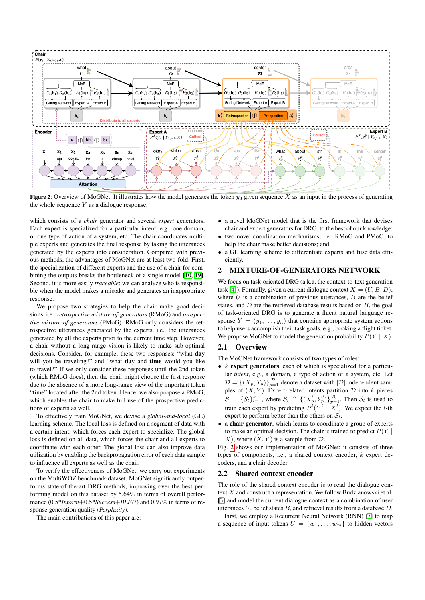<span id="page-1-0"></span>

Figure 2: Overview of MoGNet. It illustrates how the model generates the token  $y_3$  given sequence X as an input in the process of generating the whole sequence  $Y$  as a dialogue response.

which consists of a *chair* generator and several *expert* generators. Each expert is specialized for a particular intent, e.g., one domain, or one type of action of a system, etc. The chair coordinates multiple experts and generates the final response by taking the utterances generated by the experts into consideration. Compared with previous methods, the advantages of MoGNet are at least two-fold: First, the specialization of different experts and the use of a chair for combining the outputs breaks the bottleneck of a single model [\[10,](#page-7-11) [19\]](#page-7-12). Second, it is more easily *traceable*: we can analyze who is responsible when the model makes a mistake and generates an inappropriate response.

We propose two strategies to help the chair make good decisions, i.e., *retrospective mixture-of-generators* (RMoG) and *prospective mixture-of-generators* (PMoG). RMoG only considers the retrospective utterances generated by the experts, i.e., the utterances generated by all the experts prior to the current time step. However, a chair without a long-range vision is likely to make sub-optimal decisions. Consider, for example, these two responses: "what day will you be traveling?" and "what day and time would you like to travel?" If we only consider these responses until the 2nd token (which RMoG does), then the chair might choose the first response due to the absence of a more long-range view of the important token "time" located after the 2nd token. Hence, we also propose a PMoG, which enables the chair to make full use of the prospective predictions of experts as well.

To effectively train MoGNet, we devise a *global-and-local* (GL) learning scheme. The local loss is defined on a segment of data with a certain intent, which forces each expert to specialize. The global loss is defined on all data, which forces the chair and all experts to coordinate with each other. The global loss can also improve data utilization by enabling the backpropagation error of each data sample to influence all experts as well as the chair.

To verify the effectiveness of MoGNet, we carry out experiments on the MultiWOZ benchmark dataset. MoGNet significantly outperforms state-of-the-art DRG methods, improving over the best performing model on this dataset by 5.64% in terms of overall performance (0.5\**Inform*+0.5\**Success*+*BLEU*) and 0.97% in terms of response generation quality (*Perplexity*).

The main contributions of this paper are:

- a novel MoGNet model that is the first framework that devises chair and expert generators for DRG, to the best of our knowledge;
- two novel coordination mechanisms, i.e., RMoG and PMoG, to help the chair make better decisions; and
- a GL learning scheme to differentiate experts and fuse data efficiently.

## 2 MIXTURE-OF-GENERATORS NETWORK

We focus on task-oriented DRG (a.k.a. the context-to-text generation task [\[4\]](#page-7-10)). Formally, given a current dialogue context  $X = (U, B, D)$ , where  $U$  is a combination of previous utterances,  $B$  are the belief states, and  $D$  are the retrieved database results based on  $B$ , the goal of task-oriented DRG is to generate a fluent natural language response  $Y = (y_1, \ldots, y_n)$  that contains appropriate system actions to help users accomplish their task goals, e.g., booking a flight ticket. We propose MoGNet to model the generation probability  $P(Y | X)$ .

## 2.1 Overview

The MoGNet framework consists of two types of roles:

- $k$  expert generators, each of which is specialized for a particular *intent*, e.g., a domain, a type of action of a system, etc. Let  $\mathcal{D} = \left\{ (X_p, Y_p) \right\}_{p=1}^{|\mathcal{D}|}$  denote a dataset with  $|\mathcal{D}|$  independent samples of  $(X, Y)$ . Expert-related intents partition  $D$  into k pieces  $S = \{S_l\}_{l=1}^k$ , where  $S_l \triangleq \{(X_p^l, Y_p^l)\}_{p=1}^{|S_l|}$ . Then  $S_l$  is used to train each expert by predicting  $P^{l}(Y^{l} | X^{l})$ . We expect the *l*-th expert to perform better than the others on  $S_l$ .
- a chair generator, which learns to coordinate a group of experts to make an optimal decision. The chair is trained to predict  $P(Y | Y)$  $X$ ), where  $(X, Y)$  is a sample from  $D$ .

Fig. [2](#page-1-0) shows our implementation of MoGNet; it consists of three types of components, i.e., a shared context encoder, k expert decoders, and a chair decoder.

### 2.2 Shared context encoder

The role of the shared context encoder is to read the dialogue context  $X$  and construct a representation. We follow Budzianowski et al. [\[3\]](#page-7-13) and model the current dialogue context as a combination of user utterances  $U$ , belief states  $B$ , and retrieval results from a database  $D$ .

First, we employ a Recurrent Neural Network (RNN) [\[7\]](#page-7-14) to map a sequence of input tokens  $U = \{w_1, \ldots, w_m\}$  to hidden vectors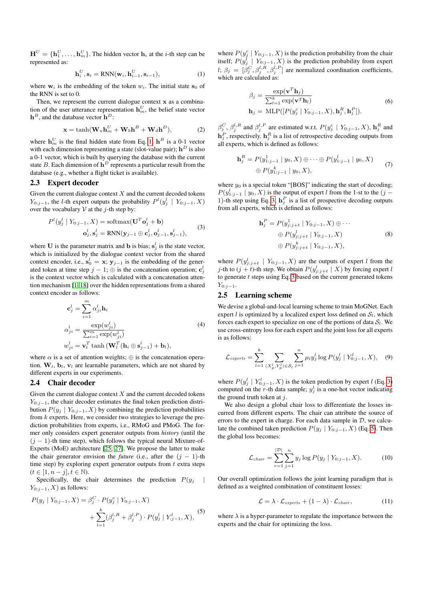$\mathbf{H}^{U} = \{\mathbf{h}_{1}^{U}, \ldots, \mathbf{h}_{m}^{U}\}\text{.}$  The hidden vector  $\mathbf{h}_{i}$  at the *i*-th step can be represented as:

<span id="page-2-0"></span>
$$
\mathbf{h}_i^U, \mathbf{s}_i = \text{RNN}(\mathbf{w}_i, \mathbf{h}_{i-1}^U, \mathbf{s}_{i-1}),
$$
\n(1)

where  $w_i$  is the embedding of the token  $w_i$ . The initial state  $s_0$  of the RNN is set to 0.

Then, we represent the current dialogue context  $x$  as a combination of the user utterance representation  $\mathbf{h}_m^U$ , the belief state vector  $\mathbf{h}^{B}$ , and the database vector  $\mathbf{h}^{D}$ :

$$
\mathbf{x} = \tanh(\mathbf{W}_u \mathbf{h}_m^U + \mathbf{W}_b \mathbf{h}^B + \mathbf{W}_d \mathbf{h}^D),
$$
 (2)

where  $\mathbf{h}_m^U$  is the final hidden state from Eq. [1;](#page-2-0)  $\mathbf{h}^B$  is a 0-1 vector with each dimension representing a state (slot-value pair);  $\mathbf{h}^D$  is also a 0-1 vector, which is built by querying the database with the current state B. Each dimension of  $h^D$  represents a particular result from the database (e.g., whether a flight ticket is available).

## 2.3 Expert decoder

Given the current dialogue context  $X$  and the current decoded tokens  $Y_{0:j-1}$ , the l-th expert outputs the probability  $P^{l}(y_j^l \mid Y_{0:j-1}, X)$ over the vocabulary  $V$  at the j-th step by:

<span id="page-2-1"></span>
$$
P^{l}(y_{j}^{l} | Y_{0:j-1}, X) = \text{softmax}(\mathbf{U}^{T} \mathbf{o}_{j}^{l} + \mathbf{b})
$$
  

$$
\mathbf{o}_{j}^{l}, \mathbf{s}_{j}^{l} = \text{RNN}(\mathbf{y}_{j-1} \oplus \mathbf{c}_{j}^{l}, \mathbf{o}_{j-1}^{l}, \mathbf{s}_{j-1}^{l}),
$$
 (3)

where U is the parameter matrix and b is bias;  $s_j^l$  is the state vector, which is initialized by the dialogue context vector from the shared context encoder, i.e.,  $s_0^l = x$ ;  $y_{j-1}$  is the embedding of the generated token at time step  $j - 1$ ;  $\oplus$  is the concatenation operation;  $\mathbf{c}_j^l$ is the context vector which is calculated with a concatenation attention mechanism [\[1,](#page-7-15) [18\]](#page-7-16) over the hidden representations from a shared context encoder as follows:

$$
\mathbf{c}_{j}^{l} = \sum_{i=1}^{m} \alpha_{ji}^{l} \mathbf{h}_{i}
$$
\n
$$
\alpha_{ji}^{l} = \frac{\exp(w_{ji}^{l})}{\sum_{i=1}^{m} \exp(w_{ji}^{l})}
$$
\n
$$
w_{ji}^{l} = \mathbf{v}_{l}^{T} \tanh\left(\mathbf{W}_{l}^{T}(\mathbf{h}_{i} \oplus \mathbf{s}_{j-1}^{l}) + \mathbf{b}_{l}\right),
$$
\n(4)

where  $\alpha$  is a set of attention weights;  $\oplus$  is the concatenation operation.  $W_l$ ,  $b_l$ ,  $v_l$  are learnable parameters, which are not shared by different experts in our experiments.

## 2.4 Chair decoder

Given the current dialogue context  $X$  and the current decoded tokens  $Y_{0:i-1}$ , the chair decoder estimates the final token prediction distribution  $P(y_j | Y_{0:j-1}, X)$  by combining the prediction probabilities from k experts. Here, we consider two strategies to leverage the prediction probabilities from experts, i.e., RMoG and PMoG. The former only considers expert generator outputs from *history* (until the  $(j - 1)$ -th time step), which follows the typical neural Mixture-of-Experts (MoE) architecture [\[25,](#page-7-17) [27\]](#page-7-18). We propose the latter to make the chair generator envision the *future* (i.e., after the  $(j - 1)$ -th time step) by exploring expert generator outputs from  $t$  extra steps  $(t \in [1, n-j], t \in \mathbb{N}).$ 

Specifically, the chair determines the prediction  $P(y_i)$  $Y_{0:i-1}$ , X) as follows:

<span id="page-2-2"></span>
$$
P(y_j | Y_{0:j-1}, X) = \beta_j^C \cdot P(y_j^c | Y_{0:j-1}, X) + \sum_{l=1}^k (\beta_j^{l, R} + \beta_j^{l, P}) \cdot P(y_j^l | Y_{:j-1}^l, X),
$$
 (5)

where  $P(y_j^c | Y_{0:j-1}, X)$  is the prediction probability from the chair itself;  $P(y_j^{\dagger} \mid Y_{0:j-1}, X)$  is the prediction probability from expert l;  $\beta_j = [\beta_j^C, \beta_j^{l,R}, \beta_j^{l,P}]$  are normalized coordination coefficients, which are calculated as:

$$
\beta_j = \frac{\exp(\mathbf{v}^T \mathbf{h}_j)}{\sum_{l=1}^k \exp(\mathbf{v}^T \mathbf{h}_l)}
$$
\n
$$
\mathbf{h}_j = \text{MLP}([P(y_j^c | Y_{0:j-1}, X), \mathbf{h}_j^R, \mathbf{h}_j^P]).
$$
\n(6)

 $\beta_j^C$ ,  $\beta_j^{l,R}$  and  $\beta_j^{l,P}$  are estimated w.r.t.  $P(y_j^c \mid Y_{0:j-1}, X)$ ,  $\mathbf{h}_j^R$  and  $\mathbf{h}_j^P$ , respectively.  $\mathbf{h}_j^R$  is a list of retrospective decoding outputs from all experts, which is defined as follows:

$$
\mathbf{h}_j^R = P(y_{1:j-1}^1 \mid y_0, X) \oplus \cdots \oplus P(y_{1:j-1}^l \mid y_0, X) \oplus P(y_{1:j-1}^k \mid y_0, X),
$$
\n(7)

where  $y_0$  is a special token "[BOS]" indicating the start of decoding;  $P(y_{1:j-1}^l \mid y_0, X)$  is the output of expert l from the 1-st to the  $(j -$ 1)-th step using Eq. [3;](#page-2-1)  $h_j^P$  is a list of prospective decoding outputs from all experts, which is defined as follows:

$$
\mathbf{h}_{j}^{P} = P(y_{j:j+t}^{1} | Y_{0:j-1}, X) \oplus \cdots
$$

$$
\oplus P(y_{j:j+t}^{l} | Y_{0:j-1}, X)
$$

$$
\oplus P(y_{j:j+t}^{k} | Y_{0:j-1}, X),
$$
(8)

where  $P(y_{j:j+t}^l \mid Y_{0:j-1}, X)$  are the outputs of expert l from the j-th to  $(j + t)$ -th step. We obtain  $P(y_{j:j+t}^l \mid X)$  by forcing expert l to generate  $t$  steps using Eq. [3](#page-2-1) based on the current generated tokens  $Y_{0:i-1}.$ 

## 2.5 Learning scheme

We devise a global-and-local learning scheme to train MoGNet. Each expert l is optimized by a localized expert loss defined on  $S_l$ , which forces each expert to specialize on one of the portions of data  $S_l$ . We use cross-entropy loss for each expert and the joint loss for all experts is as follows:

$$
\mathcal{L}_{\text{experts}} = \sum_{l=1}^{k} \sum_{(X_p^l, Y_p^l) \in \mathcal{S}_l} \sum_{j=1}^{n} \mu_l y_j^l \log P(y_j^l \mid Y_{0:j-1}^l, X), \quad (9)
$$

where  $P(y_j^l | Y_{0:j-1}^l, X)$  is the token prediction by expert l (Eq. [3\)](#page-2-1) computed on the r-th data sample;  $y_j^l$  is a one-hot vector indicating the ground truth token at  $i$ .

We also design a global chair loss to differentiate the losses incurred from different experts. The chair can attribute the source of errors to the expert in charge. For each data sample in  $D$ , we calculate the combined taken prediction  $P(y_j | Y_{0:j-1}, X)$  (Eq. [5\)](#page-2-2). Then the global loss becomes:

$$
\mathcal{L}_{chair} = \sum_{r=1}^{|\mathcal{D}|} \sum_{j=1}^{n} y_j \log P(y_j \mid Y_{0:j-1}, X). \tag{10}
$$

Our overall optimization follows the joint learning paradigm that is defined as a weighted combination of constituent losses:

<span id="page-2-3"></span>
$$
\mathcal{L} = \lambda \cdot \mathcal{L}_{\text{experts}} + (1 - \lambda) \cdot \mathcal{L}_{\text{chair}},\tag{11}
$$

where  $\lambda$  is a hyper-parameter to regulate the importance between the experts and the chair for optimizing the loss.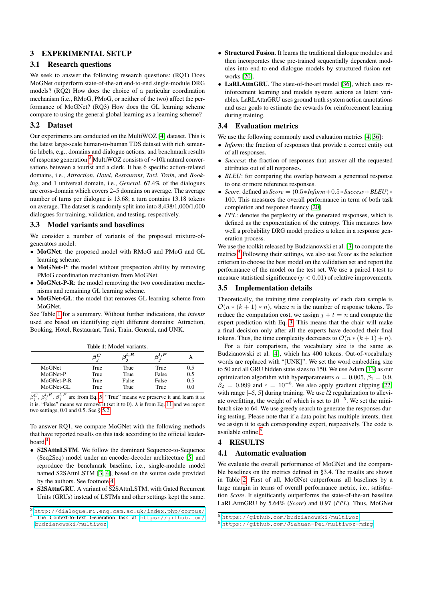# 3 EXPERIMENTAL SETUP

## 3.1 Research questions

We seek to answer the following research questions: (RQ1) Does MoGNet outperform state-of-the-art end-to-end single-module DRG models? (RQ2) How does the choice of a particular coordination mechanism (i.e., RMoG, PMoG, or neither of the two) affect the performance of MoGNet? (RQ3) How does the GL learning scheme compare to using the general global learning as a learning scheme?

## 3.2 Dataset

Our experiments are conducted on the MultiWOZ [\[4\]](#page-7-10) dataset. This is the latest large-scale human-to-human TDS dataset with rich semantic labels, e.g., domains and dialogue actions, and benchmark results of response generation.[3](#page-3-0) MultiWOZ consists of ∼10k natural conversations between a tourist and a clerk. It has 6 specific action-related domains, i.e., *Attraction*, *Hotel*, *Restaurant*, *Taxi*, *Train*, and *Booking*, and 1 universal domain, i.e., *General*. 67.4% of the dialogues are cross-domain which covers 2–5 domains on average. The average number of turns per dialogue is 13.68; a turn contains 13.18 tokens on average. The dataset is randomly split into into 8,438/1,000/1,000 dialogues for training, validation, and testing, respectively.

### 3.3 Model variants and baselines

We consider a number of variants of the proposed mixture-ofgenerators model:

- MoGNet: the proposed model with RMoG and PMoG and GL learning scheme.
- MoGNet-P: the model without prospection ability by removing PMoG coordination mechanism from MoGNet.
- MoGNet-P-R: the model removing the two coordination mechanisms and remaining GL learning scheme.
- MoGNet-GL: the model that removes GL learning scheme from MoGNet.

See Table [1](#page-3-1) for a summary. Without further indications, the *intents* used are based on identifying eight different domains: Attraction, Booking, Hotel, Restaurant, Taxi, Train, General, and UNK.

<span id="page-3-1"></span>

|            | $\beta_i^C$ | $\beta^{l,R}$ | $\beta_-^{l,P}$ |     |
|------------|-------------|---------------|-----------------|-----|
| MoGNet     | True        | True          | True            | 0.5 |
| MoGNet-P   | True        | True          | False           | 0.5 |
| MoGNet-P-R | True        | False         | False           | 0.5 |
| MoGNet-GL  | True        | True          | True            | 0.0 |

 $\beta_j^C$ ,  $\beta_j^{l,R}$ ,  $\beta_j^{l,P}$  are from Eq. [5.](#page-2-2) "True" means we preserve it and learn it as it is. "False" means we remove it (set it to 0).  $\lambda$  is from Eq. [11](#page-2-3) and we report two settings, 0.0 and 0.5. See § [5.2.](#page-5-0)

To answer RQ1, we compare MoGNet with the following methods that have reported results on this task according to the official leaderboard.[4](#page-3-2)

- S2SAttnLSTM. We follow the dominant Sequence-to-Sequence (Seq2Seq) model under an encoder-decoder architecture [\[5\]](#page-7-3) and reproduce the benchmark baseline, i.e., single-module model named S2SAttnLSTM [\[3,](#page-7-13) [4\]](#page-7-10), based on the source code provided by the authors. See footnote [4.](#page-3-2)
- S2SAttnGRU. A variant of S2SAttnLSTM, with Gated Recurrent Units (GRUs) instead of LSTMs and other settings kept the same.
- Structured Fusion. It learns the traditional dialogue modules and then incorporates these pre-trained sequentially dependent modules into end-to-end dialogue models by structured fusion networks [\[20\]](#page-7-19).
- LaRLAttnGRU. The state-of-the-art model [\[36\]](#page-7-8), which uses reinforcement learning and models system actions as latent variables. LaRLAttnGRU uses ground truth system action annotations and user goals to estimate the rewards for reinforcement learning during training.

## 3.4 Evaluation metrics

We use the following commonly used evaluation metrics [\[4,](#page-7-10) [36\]](#page-7-8):

- *Inform*: the fraction of responses that provide a correct entity out of all responses.
- *Success*: the fraction of responses that answer all the requested attributes out of all responses.
- *BLEU*: for comparing the overlap between a generated response to one or more reference responses.
- *Score*: defined as *Score* = (0.5∗*Inform*+0.5∗*Success*+*BLEU*)∗ 100. This measures the overall performance in term of both task completion and response fluency [\[20\]](#page-7-19).
- *PPL*: denotes the perplexity of the generated responses, which is defined as the exponentiation of the entropy. This measures how well a probability DRG model predicts a token in a response generation process.

We use the toolkit released by Budzianowski et al. [\[3\]](#page-7-13) to compute the metrics.[5](#page-3-3) Following their settings, we also use *Score* as the selection criterion to choose the best model on the validation set and report the performance of the model on the test set. We use a paired t-test to measure statistical significance ( $p < 0.01$ ) of relative improvements.

## 3.5 Implementation details

Theoretically, the training time complexity of each data sample is  $\mathcal{O}(n * (k+1) * n)$ , where *n* is the number of response tokens. To reduce the computation cost, we assign  $j + t = n$  and compute the expert prediction with Eq. [3.](#page-2-1) This means that the chair will make a final decision only after all the experts have decoded their final tokens. Thus, the time complexity decreases to  $\mathcal{O}(n * (k+1) + n)$ .

For a fair comparison, the vocabulary size is the same as Budzianowski et al. [\[4\]](#page-7-10), which has 400 tokens. Out-of-vocabulary words are replaced with "[UNK]". We set the word embedding size to 50 and all GRU hidden state sizes to 150. We use Adam [\[13\]](#page-7-20) as our optimization algorithm with hyperparameters  $\alpha = 0.005$ ,  $\beta_1 = 0.9$ ,  $\beta_2 = 0.999$  and  $\epsilon = 10^{-8}$ . We also apply gradient clipping [\[22\]](#page-7-21) with range  $[-5, 5]$  during training. We use  $l2$  regularization to alleviate overfitting, the weight of which is set to  $10^{-5}$ . We set the minibatch size to 64. We use greedy search to generate the responses during testing. Please note that if a data point has multiple intents, then we assign it to each corresponding expert, respectively. The code is available online.<sup>[6](#page-3-4)</sup>

# 4 RESULTS

## 4.1 Automatic evaluation

We evaluate the overall performance of MoGNet and the comparable baselines on the metrics defined in §3.4. The results are shown in Table [2.](#page-4-0) First of all, MoGNet outperforms all baselines by a large margin in terms of overall performance metric, i.e., satisfaction *Score*. It significantly outperforms the state-of-the-art baseline LaRLAttnGRU by 5.64% (*Score*) and 0.97 (*PPL*). Thus, MoGNet

<span id="page-3-0"></span><sup>3</sup> <http://dialogue.mi.eng.cam.ac.uk/index.php/corpus/> <sup>4</sup> The Context-to-Text Generation task at [https://github.com/](https://github.com/budzianowski/multiwoz)

<span id="page-3-2"></span>[budzianowski/multiwoz](https://github.com/budzianowski/multiwoz).

<span id="page-3-3"></span><sup>5</sup> <https://github.com/budzianowski/multiwoz>.

<span id="page-3-4"></span><sup>6</sup> <https://github.com/Jiahuan-Pei/multiwoz-mdrg>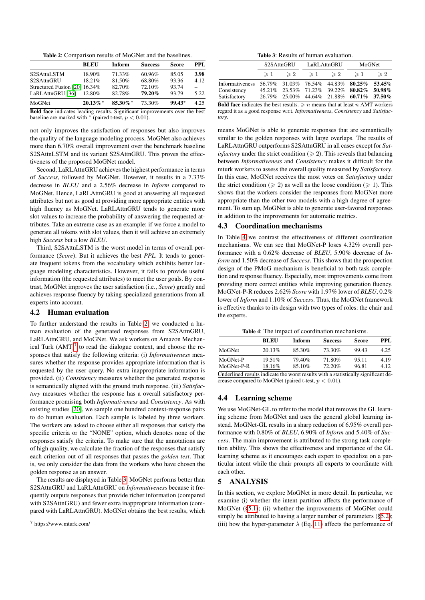Table 2: Comparison results of MoGNet and the baselines.

<span id="page-4-0"></span>

|                                                                                                                                                                                                                                                                      | <b>BLEU</b> | Inform      | <b>Success</b> | <b>Score</b> | PPL  |
|----------------------------------------------------------------------------------------------------------------------------------------------------------------------------------------------------------------------------------------------------------------------|-------------|-------------|----------------|--------------|------|
| S2SAttnLSTM                                                                                                                                                                                                                                                          | 18.90%      | 71.33%      | 60.96%         | 85.05        | 3.98 |
| S2SAttnGRU                                                                                                                                                                                                                                                           | 18.21%      | 81.50%      | 68.80%         | 93.36        | 4.12 |
| Structured Fusion [20] 16.34%                                                                                                                                                                                                                                        |             | 82.70%      | 72.10%         | 93.74        |      |
| LaRLAttnGRU [36]                                                                                                                                                                                                                                                     | 12.80%      | 82.78%      | 79.20%         | 93.79        | 5.22 |
| MoGNet                                                                                                                                                                                                                                                               | $20.13\%$ * | $85.30\%$ * | 73.30%         | $99.43*$     | 4.25 |
| $\mathbf{D}$ if $\mathbf{C}$ is the state of $\mathbf{C}$ is the state of $\mathbf{C}$ is the state of $\mathbf{C}$ is the state of $\mathbf{C}$ is the state of $\mathbf{C}$ is the state of $\mathbf{C}$ is the state of $\mathbf{C}$ is the state of $\mathbf{C}$ |             |             |                |              |      |

Bold face indicates leading results. Significant improvements over the best baseline are marked with  $*$  (paired t-test,  $p < 0.01$ ).

not only improves the satisfaction of responses but also improves the quality of the language modeling process. MoGNet also achieves more than 6.70% overall improvement over the benchmark baseline S2SAttnLSTM and its variant S2SAttnGRU. This proves the effectiveness of the proposed MoGNet model.

Second, LaRLAttnGRU achieves the highest performance in terms of *Success*, followed by MoGNet. However, it results in a 7.33% decrease in *BLEU* and a 2.56% decrease in *Inform* compared to MoGNet. Hence, LaRLAttnGRU is good at answering all requested attributes but not as good at providing more appropriate entities with high fluency as MoGNet. LaRLAttnGRU tends to generate more slot values to increase the probability of answering the requested attributes. Take an extreme case as an example: if we force a model to generate all tokens with slot values, then it will achieve an extremely high *Success* but a low *BLEU*.

Third, S2SAttnLSTM is the worst model in terms of overall performance (*Score*). But it achieves the best *PPL*. It tends to generate frequent tokens from the vocabulary which exhibits better language modeling characteristics. However, it fails to provide useful information (the requested attributes) to meet the user goals. By contrast, MoGNet improves the user satisfaction (i.e., *Score*) greatly and achieves response fluency by taking specialized generations from all experts into account.

#### 4.2 Human evaluation

To further understand the results in Table [2,](#page-4-0) we conducted a human evaluation of the generated responses from S2SAttnGRU, LaRLAttnGRU, and MoGNet. We ask workers on Amazon Mechanical Turk  $(AMT)^7$  $(AMT)^7$  to read the dialogue context, and choose the responses that satisfy the following criteria: (i) *Informativeness* measures whether the response provides appropriate information that is requested by the user query. No extra inappropriate information is provided. (ii) *Consistency* measures whether the generated response is semantically aligned with the ground truth response. (iii) *Satisfactory* measures whether the response has a overall satisfactory performance promising both *Informativeness* and *Consistency*. As with existing studies [\[20\]](#page-7-19), we sample one hundred context-response pairs to do human evaluation. Each sample is labeled by three workers. The workers are asked to choose either all responses that satisfy the specific criteria or the "NONE" option, which denotes none of the responses satisfy the criteria. To make sure that the annotations are of high quality, we calculate the fraction of the responses that satisfy each criterion out of all responses that passes the *golden test*. That is, we only consider the data from the workers who have chosen the golden response as an answer.

The results are displayed in Table [3.](#page-4-2) MoGNet performs better than S2SAttnGRU and LaRLAttnGRU on *Informativeness* because it frequently outputs responses that provide richer information (compared with S2SAttnGRU) and fewer extra inappropriate information (compared with LaRLAttnGRU). MoGNet obtains the best results, which

Table 3: Results of human evaluation.

<span id="page-4-2"></span>

|                                                                                            |  |  |  | S2SAttnGRU LaRLAttnGRU                       |                                           | MoGNet        |  |
|--------------------------------------------------------------------------------------------|--|--|--|----------------------------------------------|-------------------------------------------|---------------|--|
|                                                                                            |  |  |  | $\geq 1$ $\geq 2$ $\geq 1$ $\geq 2$ $\geq 1$ |                                           | $\geqslant 2$ |  |
| Informativeness 56.79% 31.03% 76.54% 44.83% 80.25% 53.45%                                  |  |  |  |                                              |                                           |               |  |
| Consistency                                                                                |  |  |  |                                              | 45.21% 23.53% 71.23% 39.22% 80.82% 50.98% |               |  |
| Satisfactory                                                                               |  |  |  |                                              | 26.79% 25.00% 44.64% 21.88% 60.71% 37.50% |               |  |
| <b>Dold face indicates the heat meults</b> $\sum$ is meaning that at least is AMT meultage |  |  |  |                                              |                                           |               |  |

**Bold face** indicates the best results.  $\geq n$  means that at least n AMT workers regard it as a good response w.r.t. *Informativeness*, *Consistency* and *Satisfactory*.

means MoGNet is able to generate responses that are semantically similar to the golden responses with large overlaps. The results of LaRLAttnGRU outperforms S2SAttnGRU in all cases except for *Satisfactory* under the strict condition ( $\geq 2$ ). This reveals that balancing between *Informativeness* and *Consistency* makes it difficult for the mturk workers to assess the overall quality measured by *Satisfactory*. In this case, MoGNet receives the most votes on *Satisfactory* under the strict condition ( $\geq 2$ ) as well as the loose condition ( $\geq 1$ ). This shows that the workers consider the responses from MoGNet more appropriate than the other two models with a high degree of agreement. To sum up, MoGNet is able to generate user-favored responses in addition to the improvements for automatic metrics.

## 4.3 Coordination mechanisms

In Table [4](#page-4-3) we contrast the effectiveness of different coordination mechanisms. We can see that MoGNet-P loses 4.32% overall performance with a 0.62% decrease of *BLEU*, 5.90% decrease of *Inform* and 1.50% decrease of *Success*. This shows that the prospection design of the PMoG mechanism is beneficial to both task completion and response fluency. Especially, most improvements come from providing more correct entities while improving generation fluency. MoGNet-P-R reduces 2.62% *Score* with 1.97% lower of *BLEU*, 0.2% lower of *Inform* and 1.10% of *Success*. Thus, the MoGNet framework is effective thanks to its design with two types of roles: the chair and the experts.

<span id="page-4-3"></span>

|                                                                                      | BLEU   | <b>Inform</b> | <b>Success</b> | Score | PPL  |  |
|--------------------------------------------------------------------------------------|--------|---------------|----------------|-------|------|--|
| MoGNet                                                                               | 20.13% | 85.30%        | 73.30%         | 99.43 | 4.25 |  |
| MoGNet-P                                                                             | 19.51% | 79.40%        | 71.80%         | 95.11 | 4.19 |  |
| MoGNet-P-R                                                                           | 18.16% | 85.10%        | 72.20%         | 96.81 | 4.12 |  |
| I Inderlined results indicate the worst results with a statistically significant de. |        |               |                |       |      |  |

Underlined results indicate the worst results with a statistically significant decrease compared to MoGNet (paired t-test,  $p < 0.01$ ).

## 4.4 Learning scheme

We use MoGNet-GL to refer to the model that removes the GL learning scheme from MoGNet and uses the general global learning instead. MoGNet-GL results in a sharp reduction of 6.95% overall performance with 0.80% of *BLEU*, 6.90% of *Inform* and 5.40% of *Success*. The main improvement is attributed to the strong task completion ability. This shows the effectiveness and importance of the GL learning scheme as it encourages each expert to specialize on a particular intent while the chair prompts all experts to coordinate with each other.

## 5 ANALYSIS

In this section, we explore MoGNet in more detail. In particular, we examine (i) whether the intent partition affects the performance of MoGNet ([§5.1\)](#page-5-1); (ii) whether the improvements of MoGNet could simply be attributed to having a larger number of parameters ([§5.2\)](#page-5-0); (iii) how the hyper-parameter  $\lambda$  (Eq. [11\)](#page-2-3) affects the performance of

<span id="page-4-1"></span><sup>7</sup> https://www.mturk.com/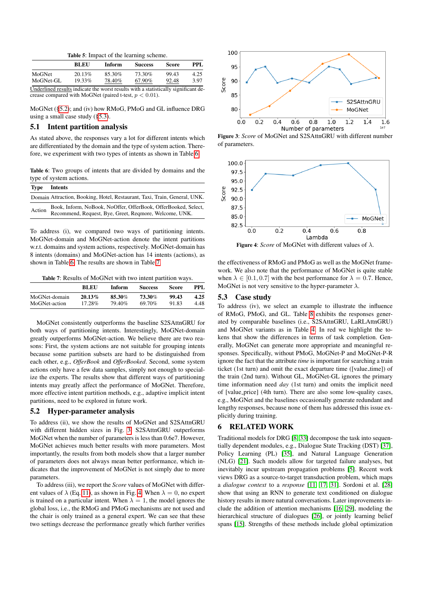|  |  | <b>Table 5:</b> Impact of the learning scheme. |
|--|--|------------------------------------------------|
|  |  |                                                |
|  |  |                                                |

|                                                                                    | <b>BLEU</b> | Inform | <b>Success</b> | Score | PPL. |
|------------------------------------------------------------------------------------|-------------|--------|----------------|-------|------|
| MoGNet                                                                             | 20.13%      | 85.30% | 73.30%         | 99.43 | 4.25 |
| MoGNet-GL                                                                          | $19.33\%$   | 78.40% | 67.90%         | 92.48 | 3.97 |
| Underlined results indicate the worst results with a statistically significant de- |             |        |                |       |      |

crease compared with MoGNet (paired t-test,  $p < 0.01$ ).

MoGNet ([§5.2\)](#page-5-0); and (iv) how RMoG, PMoG and GL influence DRG using a small case study ([§5.3\)](#page-5-2).

## <span id="page-5-1"></span>5.1 Intent partition analysis

As stated above, the responses vary a lot for different intents which are differentiated by the domain and the type of system action. Therefore, we experiment with two types of intents as shown in Table [6.](#page-5-3)

<span id="page-5-3"></span>Table 6: Two groups of intents that are divided by domains and the type of system actions.

| Type   | <b>Intents</b>                                                                                                           |
|--------|--------------------------------------------------------------------------------------------------------------------------|
|        | Domain Attraction, Booking, Hotel, Restaurant, Taxi, Train, General, UNK.                                                |
| Action | Book, Inform, NoBook, NoOffer, OfferBook, OfferBooked, Select,<br>Recommend, Request, Bye, Greet, Reqmore, Welcome, UNK. |

To address (i), we compared two ways of partitioning intents. MoGNet-domain and MoGNet-action denote the intent partitions w.r.t. domains and system actions, respectively. MoGNet-domain has 8 intents (domains) and MoGNet-action has 14 intents (actions), as shown in Table [6.](#page-5-3) The results are shown in Table [7.](#page-5-4)

<span id="page-5-4"></span>Table 7: Results of MoGNet with two intent partition ways.

|               | <b>BLEU</b> | Inform | <b>Success</b> | Score | PPL  |
|---------------|-------------|--------|----------------|-------|------|
| MoGNet-domain | $20.13\%$   | 85.30% | 73.30%         | 99.43 | 4.25 |
| MoGNet-action | 17.28%      | 79.40% | 69.70%         | 91.83 | 4.48 |

MoGNet consistently outperforms the baseline S2SAttnGRU for both ways of partitioning intents. Interestingly, MoGNet-domain greatly outperforms MoGNet-action. We believe there are two reasons: First, the system actions are not suitable for grouping intents because some partition subsets are hard to be distinguished from each other, e.g., *OfferBook* and *OfferBooked*. Second, some system actions only have a few data samples, simply not enough to specialize the experts. The results show that different ways of partitioning intents may greatly affect the performance of MoGNet. Therefore, more effective intent partition methods, e.g., adaptive implicit intent partitions, need to be explored in future work.

# <span id="page-5-0"></span>5.2 Hyper-parameter analysis

To address (ii), we show the results of MoGNet and S2SAttnGRU with different hidden sizes in Fig. [3.](#page-5-5) S2SAttnGRU outperforms MoGNet when the number of parameters is less than 0.6e7. However, MoGNet achieves much better results with more parameters. Most importantly, the results from both models show that a larger number of parameters does not always mean better performance, which indicates that the improvement of MoGNet is not simply due to more parameters.

To address (iii), we report the *Score* values of MoGNet with different values of  $\lambda$  (Eq. [11\)](#page-2-3), as shown in Fig. [4.](#page-5-6) When  $\lambda = 0$ , no expert is trained on a particular intent. When  $\lambda = 1$ , the model ignores the global loss, i.e., the RMoG and PMoG mechanisms are not used and the chair is only trained as a general expert. We can see that these two settings decrease the performance greatly which further verifies

<span id="page-5-5"></span>

Figure 3: *Score* of MoGNet and S2SAttnGRU with different number of parameters.

<span id="page-5-6"></span>

**Figure 4:** *Score* of MoGNet with different values of  $\lambda$ .

the effectiveness of RMoG and PMoG as well as the MoGNet framework. We also note that the performance of MoGNet is quite stable when  $\lambda \in [0.1, 0.7]$  with the best performance for  $\lambda = 0.7$ . Hence, MoGNet is not very sensitive to the hyper-parameter  $\lambda$ .

## <span id="page-5-2"></span>5.3 Case study

To address (iv), we select an example to illustrate the influence of RMoG, PMoG, and GL. Table [8](#page-6-0) exhibits the responses generated by comparable baselines (i.e., S2SAttnGRU, LaRLAttnGRU) and MoGNet variants as in Table [4.](#page-4-3) In red we highlight the tokens that show the differences in terms of task completion. Generally, MoGNet can generate more appropriate and meaningful responses. Specifically, without PMoG, MoGNet-P and MoGNet-P-R ignore the fact that the attribute *time* is important for searching a train ticket (1st turn) and omit the exact departure time ([value\_time]) of the train (2nd turn). Without GL, MoGNet-GL ignores the primary time information need *day* (1st turn) and omits the implicit need of [value price] (4th turn). There are also some low-quality cases, e.g., MoGNet and the baselines occasionally generate redundant and lengthy responses, because none of them has addressed this issue explicitly during training.

## 6 RELATED WORK

Traditional models for DRG [\[8,](#page-7-22) [33\]](#page-7-23) decompose the task into sequentially dependent modules, e.g., Dialogue State Tracking (DST) [\[37\]](#page-7-7), Policy Learning (PL) [\[35\]](#page-7-24), and Natural Language Generation (NLG) [\[21\]](#page-7-25). Such models allow for targeted failure analyses, but inevitably incur upstream propagation problems [\[5\]](#page-7-3). Recent work views DRG as a source-to-target transduction problem, which maps a *dialogue context* to a *response* [\[11,](#page-7-4) [17,](#page-7-26) [31\]](#page-7-6). Sordoni et al. [\[28\]](#page-7-27) show that using an RNN to generate text conditioned on dialogue history results in more natural conversations. Later improvements include the addition of attention mechanisms [\[16,](#page-7-28) [29\]](#page-7-29), modeling the hierarchical structure of dialogues [\[26\]](#page-7-30), or jointly learning belief spans [\[15\]](#page-7-31). Strengths of these methods include global optimization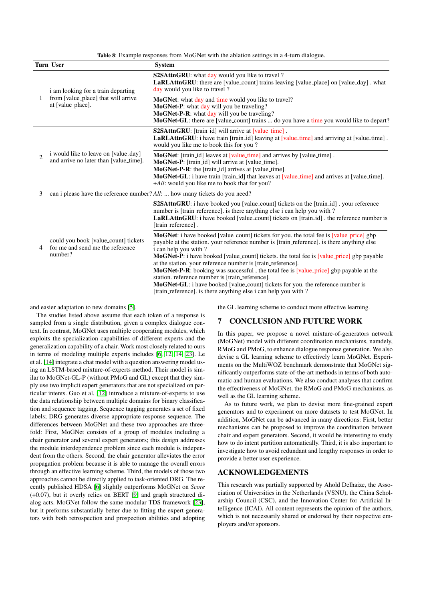Table 8: Example responses from MoGNet with the ablation settings in a 4-turn dialogue.

<span id="page-6-0"></span>

|              | <b>Turn User</b>                                                                                 | <b>System</b>                                                                                                                                                                                                                                                                                                                                                                                                                                                                                                                                                                                                                                                                                    |
|--------------|--------------------------------------------------------------------------------------------------|--------------------------------------------------------------------------------------------------------------------------------------------------------------------------------------------------------------------------------------------------------------------------------------------------------------------------------------------------------------------------------------------------------------------------------------------------------------------------------------------------------------------------------------------------------------------------------------------------------------------------------------------------------------------------------------------------|
|              | i am looking for a train departing<br>from [value_place] that will arrive<br>at [value_place].   | <b>S2SAttnGRU:</b> what day would you like to travel?<br>LaRLAttnGRU: there are [value_count] trains leaving [value_place] on [value_day]. what<br>day would you like to travel?                                                                                                                                                                                                                                                                                                                                                                                                                                                                                                                 |
| 1            |                                                                                                  | MoGNet: what day and time would you like to travel?<br>MoGNet-P: what day will you be traveling?<br>MoGNet-P-R: what day will you be traveling?<br>MoGNet-GL: there are [value_count] trains  do you have a time you would like to depart?                                                                                                                                                                                                                                                                                                                                                                                                                                                       |
|              | i would like to leave on [value_day]<br>$\mathfrak{D}$<br>and arrive no later than [value_time]. | <b>S2SAttnGRU:</b> [train_id] will arrive at [value_time].<br>LaRLAttnGRU: i have train [train_id] leaving at [value_time] and arriving at [value_time].<br>would you like me to book this for you?                                                                                                                                                                                                                                                                                                                                                                                                                                                                                              |
|              |                                                                                                  | MoGNet: [train_id] leaves at [value_time] and arrives by [value_time].<br>MoGNet-P: [train_id] will arrive at [value_time].<br>MoGNet-P-R: the [train_id] arrives at [value_time].<br><b>MoGNet-GL:</b> i have train [train_id] that leaves at [value_time] and arrives at [value_time].<br>+All: would you like me to book that for you?                                                                                                                                                                                                                                                                                                                                                        |
| 3            |                                                                                                  | can i please have the reference number? All:  how many tickets do you need?                                                                                                                                                                                                                                                                                                                                                                                                                                                                                                                                                                                                                      |
| 4<br>number? |                                                                                                  | <b>S2SAttnGRU:</b> i have booked you [value_count] tickets on the [train_id]. your reference<br>number is [train_reference]. is there anything else i can help you with ?<br><b>LaRLAttnGRU:</b> i have booked [value_count] tickets on [train_id]. the reference number is<br>[train_reference].                                                                                                                                                                                                                                                                                                                                                                                                |
|              | could you book [value_count] tickets<br>for me and send me the reference                         | <b>MoGNet:</b> i have booked [value_count] tickets for you. the total fee is [value_price] gbp<br>payable at the station, your reference number is [train_reference], is there anything else<br>i can help you with?<br><b>MoGNet-P</b> : i have booked [value_count] tickets. the total fee is [value_price] gbp payable<br>at the station. your reference number is [train_reference].<br>MoGNet-P-R: booking was successful, the total fee is [value_price] gbp payable at the<br>station. reference number is [train_reference].<br><b>MoGNet-GL:</b> i have booked [value_count] tickets for you. the reference number is<br>[train_reference], is there anything else i can help you with? |

and easier adaptation to new domains [\[5\]](#page-7-3).

The studies listed above assume that each token of a response is sampled from a single distribution, given a complex dialogue context. In contrast, MoGNet uses multiple cooperating modules, which exploits the specialization capabilities of different experts and the generalization capability of a chair. Work most closely related to ours in terms of modeling multiple experts includes [\[6,](#page-7-32) [12,](#page-7-33) [14,](#page-7-34) [23\]](#page-7-35). Le et al. [\[14\]](#page-7-34) integrate a chat model with a question answering model using an LSTM-based mixture-of-experts method. Their model is similar to MoGNet-GL-P (without PMoG and GL) except that they simply use two implicit expert generators that are not specialized on particular intents. Guo et al. [\[12\]](#page-7-33) introduce a mixture-of-experts to use the data relationship between multiple domains for binary classification and sequence tagging. Sequence tagging generates a set of fixed labels; DRG generates diverse appropriate response sequence. The differences between MoGNet and these two approaches are threefold: First, MoGNet consists of a group of modules including a chair generator and several expert generators; this design addresses the module interdependence problem since each module is independent from the others. Second, the chair generator alleviates the error propagation problem because it is able to manage the overall errors through an effective learning scheme. Third, the models of those two approaches cannot be directly applied to task-oriented DRG. The recently published HDSA [\[6\]](#page-7-32) slightly outperforms MoGNet on *Score* (+0.07), but it overly relies on BERT [\[9\]](#page-7-36) and graph structured dialog acts. MoGNet follow the same modular TDS framework [\[23\]](#page-7-35), but it preforms substantially better due to fitting the expert generators with both retrospection and prospection abilities and adopting the GL learning scheme to conduct more effective learning.

## 7 CONCLUSION AND FUTURE WORK

In this paper, we propose a novel mixture-of-generators network (MoGNet) model with different coordination mechanisms, namdely, RMoG and PMoG, to enhance dialogue response generation. We also devise a GL learning scheme to effectively learn MoGNet. Experiments on the MultiWOZ benchmark demonstrate that MoGNet significantly outperforms state-of-the-art methods in terms of both automatic and human evaluations. We also conduct analyses that confirm the effectiveness of MoGNet, the RMoG and PMoG mechanisms, as well as the GL learning scheme.

As to future work, we plan to devise more fine-grained expert generators and to experiment on more datasets to test MoGNet. In addition, MoGNet can be advanced in many directions: First, better mechanisms can be proposed to improve the coordination between chair and expert generators. Second, it would be interesting to study how to do intent partition automatically. Third, it is also important to investigate how to avoid redundant and lengthy responses in order to provide a better user experience.

# ACKNOWLEDGEMENTS

This research was partially supported by Ahold Delhaize, the Association of Universities in the Netherlands (VSNU), the China Scholarship Council (CSC), and the Innovation Center for Artificial Intelligence (ICAI). All content represents the opinion of the authors, which is not necessarily shared or endorsed by their respective employers and/or sponsors.